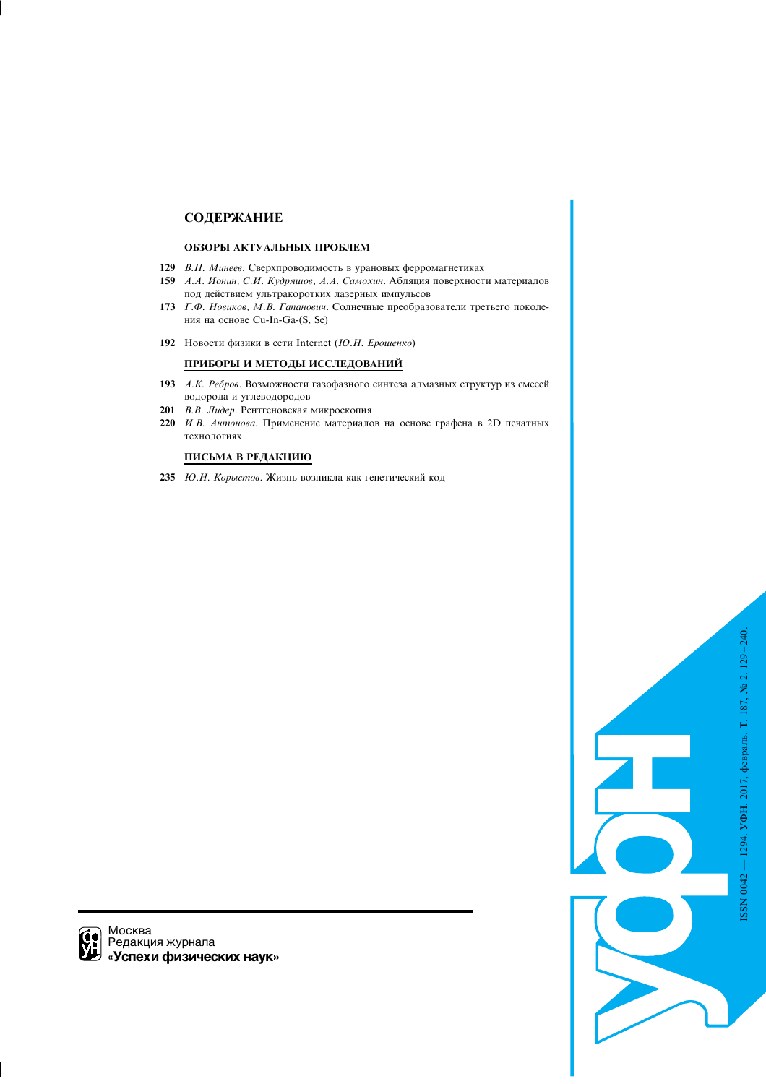# СОДЕРЖАНИЕ

# ОБЗОРЫ АКТУАЛЬНЫХ ПРОБЛЕМ

- 129 В.П. Минеев. Сверхпроводимость в урановых ферромагнетиках
- 159 А.А. Ионин, С.И. Кудряшов, А.А. Самохин. Абляция поверхности материалов под действием ультракоротких лазерных импульсов
- 173 Г.Ф. Новиков, М.В. Гапанович. Солнечные преобразователи третьего поколения на основе Cu-In-Ga-(S, Se)
- 192 Новости физики в сети Internet (Ю.Н. Ерошенко)

# ПРИБОРЫ И МЕТОДЫ ИССЛЕДОВАНИЙ

- 193 А.К. Ребров. Возможности газофазного синтеза алмазных структур из смесей водорода и углеводородов
- 201 В.В. Лидер. Рентгеновская микроскопия
- 220 *И.В. Антонова*. Применение материалов на основе графена в 2D печатных технологиях

# ПИСЬМА В РЕДАКЦИЮ

235 Ю.Н. Корыстов. Жизнь возникла как генетический код



 $\bigcap$  Москва Редакция журнала «Успехи физических наук»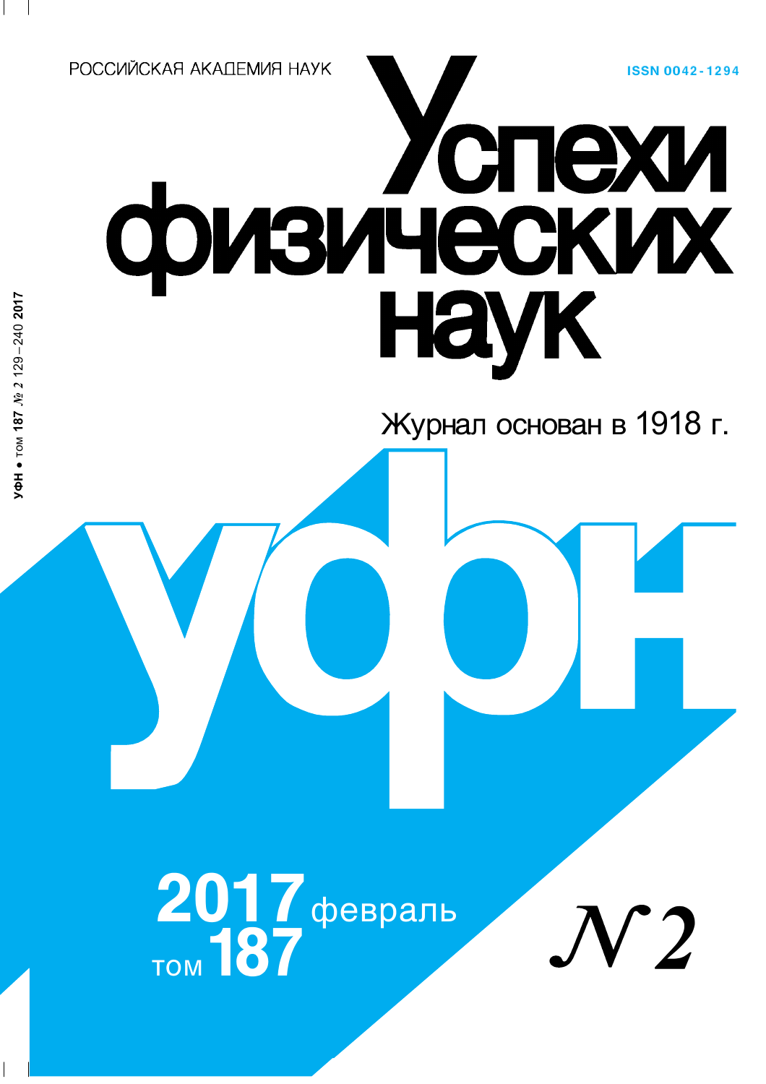**ISSN 0042-1294** 

РОССИЙСКАЯ АКАПЕМИЯ НАУК

 $\sqrt{\Phi}$ H  $\bullet$  TOM 187  $\tilde{N2}$  2129-240 2017

# физических

Журнал основан в 1918 г.

 $2017$  февраль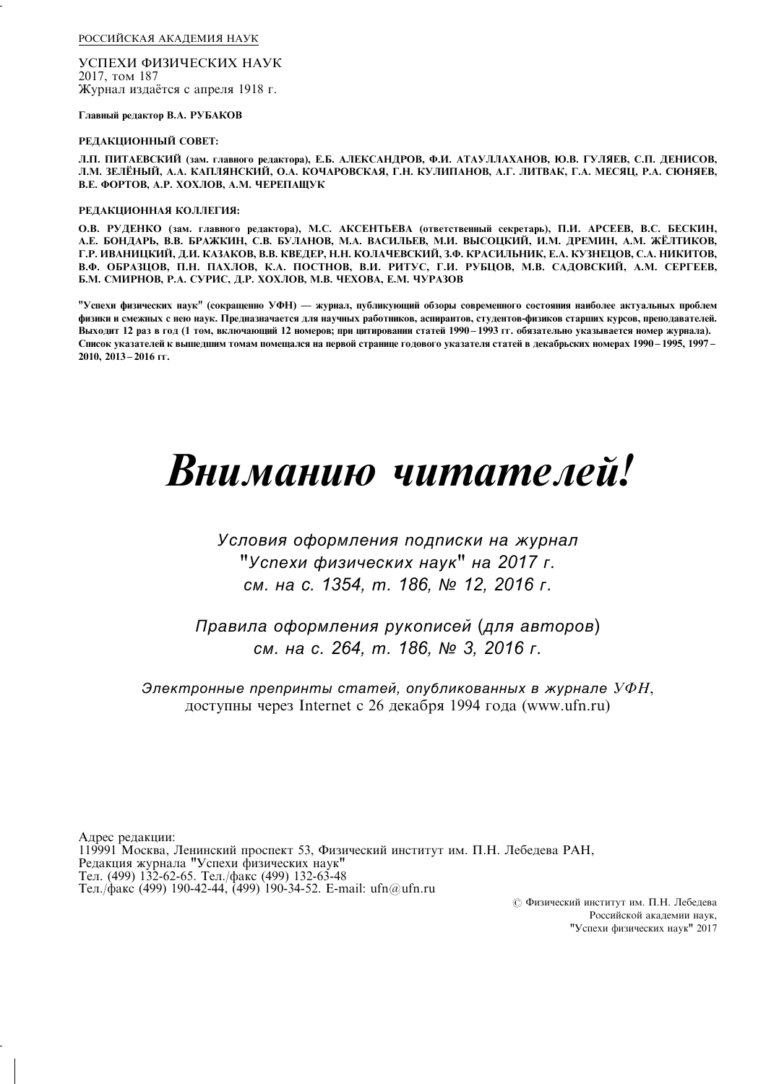РОССИЙСКАЯ АКАДЕМИЯ НАУК

УСПЕХИ ФИЗИЧЕСКИХ НАУК 2017, том 187 Журнал издаётся с апреля 1918 г.

Главный редактор В.А. РУБАКОВ

# РЕДАКЦИОННЫЙ СОВЕТ:

Л.П. ПИТАЕВСКИЙ (зам. главного редактора), Е.Б. АЛЕКСАНДРОВ, Ф.И. АТАУЛЛАХАНОВ, Ю.В. ГУЛЯЕВ, С.П. ДЕНИСОВ, Л.М. ЗЕЛЁНЫЙ, А.А. КАПЛЯНСКИЙ, О.А. КОЧАРОВСКАЯ, Г.Н. КУЛИПАНОВ, А.Г. ЛИТВАК, Г.А. МЕСЯЦ, Р.А. СЮНЯЕВ, В.Е. ФОРТОВ, А.Р. ХОХЛОВ, А.М. ЧЕРЕПАЩУК

## РЕДАКЦИОННАЯ КОЛЛЕГИЯ:

О.В. РУДЕНКО (зам. главного редактора), М.С. АКСЕНТЬЕВА (ответственный секретарь), П.И. АРСЕЕВ, В.С. БЕСКИН, А.Е. БОНДАРЬ, В.В. БРАЖКИН, С.В. БУЛАНОВ, М.А. ВАСИЛЬЕВ, М.И. ВЫСОЦКИЙ, И.М. ДРЕМИН, А.М. ЖЁЛТИКОВ, Г.Р. ИВАНИЦКИЙ, Д.И. КАЗАКОВ, В.В. КВЕДЕР, Н.Н. КОЛАЧЕВСКИЙ, З.Ф. КРАСИЛЬНИК, Е.А. КУЗНЕЦОВ, С.А. НИКИТОВ, В.Ф. ОБРАЗЦОВ, П.Н. ПАХЛОВ, К.А. ПОСТНОВ, В.И. РИТУС, Г.И. РУБЦОВ, М.В. САДОВСКИЙ, А.М. СЕРГЕЕВ, Б.М. СМИРНОВ, Р.А. СУРИС, Д.Р. ХОХЛОВ, М.В. ЧЕХОВА, Е.М. ЧУРАЗОВ

"Успехи физических наук" (сокращенно УФН) — журнал, публикующий обзоры современного состояния наиболее актуальных проблем физики и смежных с нею наук. Предназначается для научных работников, аспирантов, студентов-физиков старших курсов, преподавателей. Выходит 12 раз в год (1 том, включающий 12 номеров; при цитировании статей 1990-1993 гг. обязательно указывается номер журнала). Список указателей к вышедшим томам помещался на первой странице годового указателя статей в декабрьских номерах 1990 - 1995, 1997 -2010, 2013 - 2016 гг.

# Вниманию читателей!

# Условия оформления подписки на журнал "Успехи физических наук" на 2017 г. см. на с. 1354, т. 186, № 12, 2016 г.

Правила оформления рукописей (для авторов) см. на с. 264, т. 186, № 3, 2016 г.

Электронные препринты статей, опубликованных в журнале  $Y\Phi H$ , доступны через Internet с 26 декабря 1994 года (www.ufn.ru)

Адрес редакции: 119991 Москва, Ленинский проспект 53, Физический институт им. П.Н. Лебедева РАН, Редакция журнала "Успехи физических наук" Тел. (499) 132-62-65. Тел./факс (499) 132-63-48 Тел./факс (499) 190-42-44, (499) 190-34-52. E-mail: ufn@ufn.ru

> © Физический институт им. П.Н. Лебедева Российской акалемии наук. "Успехи физических наук" 2017